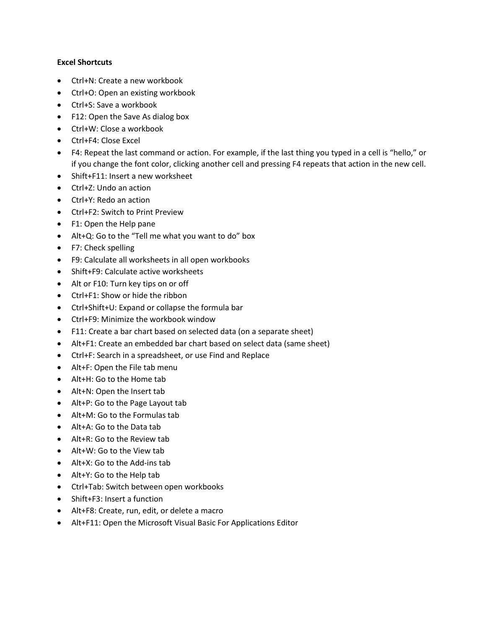### **Excel Shortcuts**

- Ctrl+N: Create a new workbook
- Ctrl+O: Open an existing workbook
- Ctrl+S: Save a workbook
- F12: Open the Save As dialog box
- Ctrl+W: Close a workbook
- Ctrl+F4: Close Excel
- F4: Repeat the last command or action. For example, if the last thing you typed in a cell is "hello," or if you change the font color, clicking another cell and pressing F4 repeats that action in the new cell.
- Shift+F11: Insert a new worksheet
- Ctrl+Z: Undo an action
- Ctrl+Y: Redo an action
- Ctrl+F2: Switch to Print Preview
- F1: Open the Help pane
- Alt+Q: Go to the "Tell me what you want to do" box
- F7: Check spelling
- F9: Calculate all worksheets in all open workbooks
- Shift+F9: Calculate active worksheets
- Alt or F10: Turn key tips on or off
- Ctrl+F1: Show or hide the ribbon
- Ctrl+Shift+U: Expand or collapse the formula bar
- Ctrl+F9: Minimize the workbook window
- F11: Create a bar chart based on selected data (on a separate sheet)
- Alt+F1: Create an embedded bar chart based on select data (same sheet)
- Ctrl+F: Search in a spreadsheet, or use Find and Replace
- Alt+F: Open the File tab menu
- Alt+H: Go to the Home tab
- Alt+N: Open the Insert tab
- Alt+P: Go to the Page Layout tab
- Alt+M: Go to the Formulas tab
- Alt+A: Go to the Data tab
- Alt+R: Go to the Review tab
- Alt+W: Go to the View tab
- Alt+X: Go to the Add-ins tab
- Alt+Y: Go to the Help tab
- Ctrl+Tab: Switch between open workbooks
- Shift+F3: Insert a function
- Alt+F8: Create, run, edit, or delete a macro
- Alt+F11: Open the Microsoft Visual Basic For Applications Editor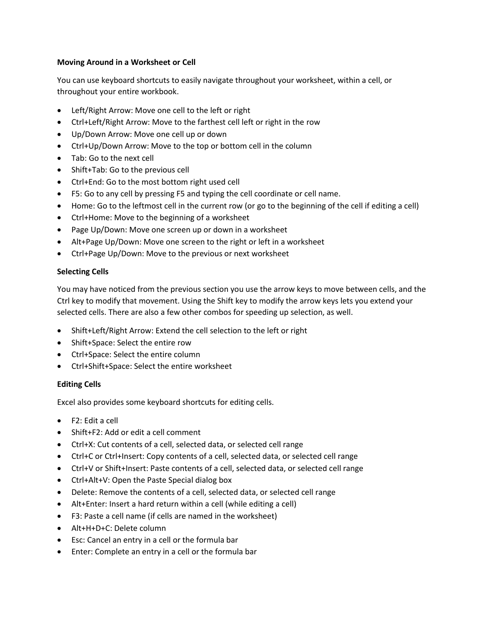## **Moving Around in a Worksheet or Cell**

You can use keyboard shortcuts to easily navigate throughout your worksheet, within a cell, or throughout your entire workbook.

- Left/Right Arrow: Move one cell to the left or right
- Ctrl+Left/Right Arrow: Move to the farthest cell left or right in the row
- Up/Down Arrow: Move one cell up or down
- Ctrl+Up/Down Arrow: Move to the top or bottom cell in the column
- Tab: Go to the next cell
- Shift+Tab: Go to the previous cell
- Ctrl+End: Go to the most bottom right used cell
- F5: Go to any cell by pressing F5 and typing the cell coordinate or cell name.
- Home: Go to the leftmost cell in the current row (or go to the beginning of the cell if editing a cell)
- Ctrl+Home: Move to the beginning of a worksheet
- Page Up/Down: Move one screen up or down in a worksheet
- Alt+Page Up/Down: Move one screen to the right or left in a worksheet
- Ctrl+Page Up/Down: Move to the previous or next worksheet

# **Selecting Cells**

You may have noticed from the previous section you use the arrow keys to move between cells, and the Ctrl key to modify that movement. Using the Shift key to modify the arrow keys lets you extend your selected cells. There are also a few other combos for speeding up selection, as well.

- Shift+Left/Right Arrow: Extend the cell selection to the left or right
- Shift+Space: Select the entire row
- Ctrl+Space: Select the entire column
- Ctrl+Shift+Space: Select the entire worksheet

# **Editing Cells**

Excel also provides some keyboard shortcuts for editing cells.

- F2: Edit a cell
- Shift+F2: Add or edit a cell comment
- Ctrl+X: Cut contents of a cell, selected data, or selected cell range
- Ctrl+C or Ctrl+Insert: Copy contents of a cell, selected data, or selected cell range
- Ctrl+V or Shift+Insert: Paste contents of a cell, selected data, or selected cell range
- Ctrl+Alt+V: Open the Paste Special dialog box
- Delete: Remove the contents of a cell, selected data, or selected cell range
- Alt+Enter: Insert a hard return within a cell (while editing a cell)
- F3: Paste a cell name (if cells are named in the worksheet)
- Alt+H+D+C: Delete column
- Esc: Cancel an entry in a cell or the formula bar
- Enter: Complete an entry in a cell or the formula bar